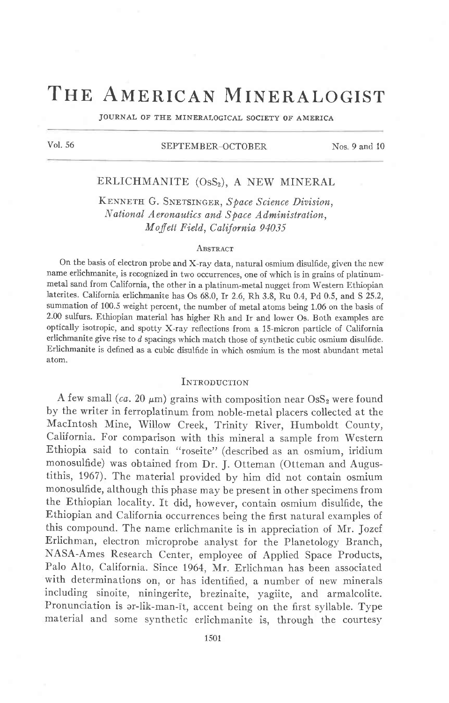# THE AMERICAN MINERALOGIST

JOURNAL OF THE MINERALOGICAL SOCIETY OF AMERICA

## Vol. 56 SEPTEMBER-OCTOBER Nos. 9 and 10

## ERLICHMANITE (OsS<sub>2</sub>), A NEW MINERAL

KENNETH G. SNETSINGER, Space Science Division, National Aeronautics and Space Administration, Moffett Field, California 94035

#### ABSTRACT

On the basis of electron probe and X-ray data, naturai osmium disulfide, given the new name erlichmanite, is recognized in two occurrences, one of which is in grains of platinummetal sand from California, the other in a platinum-metal nugget from Western Ethiopian laterites. California erlichmanite has Os 68.0, Ir 2.6, Rh 3.8, Ru 0.4, Pd 0.5, and S 25.2, summation of 100.5 weight percent, the number of metal atons being 1.06 on the basis of 2.00 sulfurs. Ethiopian material has higher Rh and Ir and lower Os. Both examples are optically isotropic, and spotty X-ray reflections from a 15-micron particle of California erlichmanite give rise to  $d$  spacings which match those of synthetic cubic osmium disulfide. Erlichmanite is defined as a cubic disulfide in which osmium is the most abundant metal atom.

## INTRODUCTION

A few small (ca. 20  $\mu$ m) grains with composition near OsS<sub>2</sub> were found by the writer in ferroplatinum from noble-metal placers collected at the Maclntosh Mine, Willow Creek, Trinity River, Humboldt County, California. For comparison with this mineral a sample from Western Ethiopia said to contain "roseite" (described as an osmium, iridium monosulfide) was obtained from Dr. J. Otteman (Otteman and Augustithis, 1967). The material provided by him did not contain osmium monosulfide, although this phase may be present in other specimens from the Ethiopian locality. It did, however, contain osmium disulfide, the Ethiopian and California occurrences being the first natural examples of this compound. The name erlichmanite is in appreciation of Mr. Jozef Erlichman, electron microprobe analyst for the Planetology Branch, NASA-Ames Research Center, employee of Applied Space Products, Palo AIto, California. Since 1964, Mr. Erlichman has been associated with determinations on, or has identified, a number of new minerals including sinoite, niningerite, brezinaite, yagiite, and armalcolite. Pronunciation is ar-lik-man-īt, accent being on the first syllable. Type materiai and some synthetic erlichmanite is, through the courtesy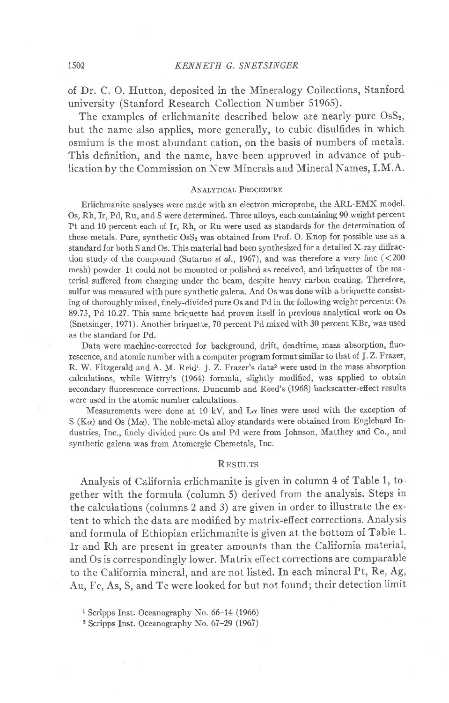of Dr. C. O. Hutton, deposited in the Mineralogy Collections, Stanford university (Stanford Research Collection Number 51965).

The examples of erlichmanite described below are nearly-pure  $\text{OsS}_2$ , but the name also applies, more generally, to cubic disulfides in which osmium is the most abundant cation, on the basis of numbers of metals. This definition, and the name, have been approved in advance of pub-Iication by the Commission on New Minerals and Mineral Names, I.M.A.

### ANALYTICAL PROCEDURE

Erlichmanite analyses were made with an electron microprobe, the ARL-EMX model. Os, Rh, Ir, Pd, Ru, and S were determined. Three alloys, each containing 90 weight percent Pt and 10 percent each of Ir, Rh, or Ru were used as standards for the determination of these metals. Pure, synthetic  $\text{OsS}_2$  was obtained from Prof. O. Knop for possible use as a standard for both S and Os. This material had been synthesized for a detailed X-ray difiraction study of the compound (Sutarno et al., 1967), and was therefore a very fine  $(<$ 200 mesh) powder. It could not be mounted or polished as received, and briquettes of the material sufiered from charging under the beam, despite heavy carbon coating. Therefore, sulfur was measured with pure synthetic galena. And Os was done with a briquette consisting of thoroughly mired, finely-divided pure Os and Pd in the following weight percents: Os 89.73, Pd 10.27. This same briquette had proven itself in previous analytical work on Os (Snetsinger, 1971). Another briquette, 70 percent Pd mixed with 30 percent KBr, was used as the standard for Pd.

Data were machine-corrected for background, drift, deadtime, mass absorption, fluorescence, and atomic number with a computer program format similar to that of J.Z. Frazer, R. W. Fitzgerald and A. M. Reid<sup>1</sup>. J. Z. Frazer's data<sup>2</sup> were used in the mass absorption calculations, while Wittry's (1964) formula, slightly modified, was applied to obtain secondary fluorescence corrections. Duncumb and Reed's (1968) backscatter-efiect results were used in the atomic number calculations.

Measurements were done at 10 kV, and  $L\alpha$  lines were used with the exception of S ( $K\alpha$ ) and Os ( $M\alpha$ ). The noble-metal alloy standards were obtained from Englehard Industries, Inc., finely divided pure Os and Pd were from Johnson, Matthey and Co., and synthetic galena was from Atomergic Chemetals, Inc.

#### **RESILTS**

Analysis of California erlichmanite is given in column 4 of Table 1, together with the formula (column 5) derived from the analysis. Steps in the calculations (columns 2 and 3) are given in order to illustrate the extent to which the data are modified by matrix-effect corrections. Analysis and formula of Ethiopian erlichmanite is given at the bottom of Table 1. Ir and Rh are present in greater amounts than the California material, and Os is correspondingly lower. Matrix effect corrections are comparable to the California mineral, and are not listed. In each mineral Pt, Re, Ag, Au, Fe, As, S, and Te were Iooked for but not found; their detection limit

<sup>1</sup> Scripps Inst. Oceanography No. 66-14 (1966)

2 Scripps Inst. Oceanography No. 67-29 (1967)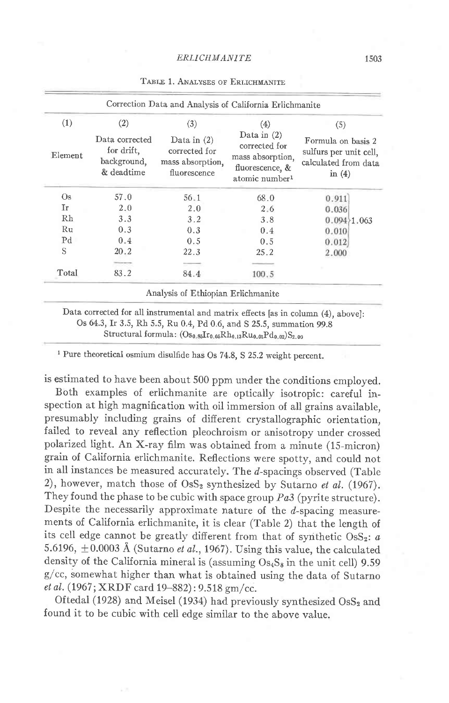| (1)            | (2)                                                       | (3)                                                                | (4)                                                                                                 | (5)                                                                              |
|----------------|-----------------------------------------------------------|--------------------------------------------------------------------|-----------------------------------------------------------------------------------------------------|----------------------------------------------------------------------------------|
| Element        | Data corrected<br>for drift,<br>background,<br>& deadtime | Data in $(2)$<br>corrected for<br>mass absorption,<br>fluorescence | Data in $(2)$<br>corrected for<br>mass absorption,<br>fluorescence, &<br>atomic number <sup>1</sup> | Formula on basis 2<br>sulfurs per unit cell,<br>calculated from data<br>in $(4)$ |
| Os.            | 57.0                                                      | 56.1                                                               | 68.0                                                                                                | 0.911                                                                            |
| Ir             | 2.0                                                       | 2.0                                                                | 2.6                                                                                                 | 0.036                                                                            |
| Rh             | 3.3                                                       | 3.2                                                                | 3.8                                                                                                 | $0.094 \& 1.063$                                                                 |
| Ru             | 0.3                                                       | 0.3                                                                | 0.4                                                                                                 | 0.010                                                                            |
| P <sub>d</sub> | 0.4                                                       | 0.5                                                                | 0.5                                                                                                 | 0.012                                                                            |
| S              | 20.2                                                      | 22.3                                                               | 25.2                                                                                                | 2.000                                                                            |
|                |                                                           |                                                                    |                                                                                                     |                                                                                  |
| Total          | 83.2                                                      | 84.4                                                               | 100.5                                                                                               |                                                                                  |
|                |                                                           | Analysis of Ethiopian Erlichmanite                                 |                                                                                                     |                                                                                  |

#### TABLE 1. ANALYSES OF ERLICHMANITE

Os 64.3, Ir 3.5, Rh 5.5, Ru 0.4, Pd 0.6, and S 25.5, summation 99.8 Structural formula:  $(Os_{0.85}Ir_{0.05}Rh_{0.13}Ru_{0.01}Pd_{0.02})S_{2.00}$ 

<sup>1</sup> Pure theoretical osmium disulfide has Os 74.8, S 25.2 weight percent.

is estimated to have been about 500 ppm under the conditions employed.

Both examples of erlichmanite are optically isotropic: careful inspection at high magnification with oil immersion of all grains available, presumably including grains of different crystallographic orientation, failed to reveal any reflection pleochroism or anisotropy under crossed polarized light. An X-ray film was obtained from a minute (15-micron) grain of California erlichmanite. Reflections were spotty, and could not in all instances be measured accurately. The d-spacings observed (Table 2), however, match those of  $\text{OsS}_2$  synthesized by Sutarno et al. (1967). They found the phase to be cubic with space group  $Pa3$  (pyrite structure). Despite the necessarily approximate nature of the  $d$ -spacing measurements of California erlichmanite, it is clear (Table 2) that the length of its cell edge cannot be greatly different from that of synthetic OsS<sub>2</sub>:  $a$ 5.6196,  $\pm$ 0.0003 Å (Sutarno *et al.*, 1967). Using this value, the calculated density of the California mineral is (assuming  $Os<sub>4</sub>S<sub>8</sub>$  in the unit cell) 9.59 g/cc, somewhat higher than what is obtained using the data of Sutarno et al. (1967; XRDF card 19-882): 9.518 gm/cc.

Oftedal (1928) and Meisel (1934) had previously synthesized OsS2 and found it to be cubic with cell edge similar to the above value.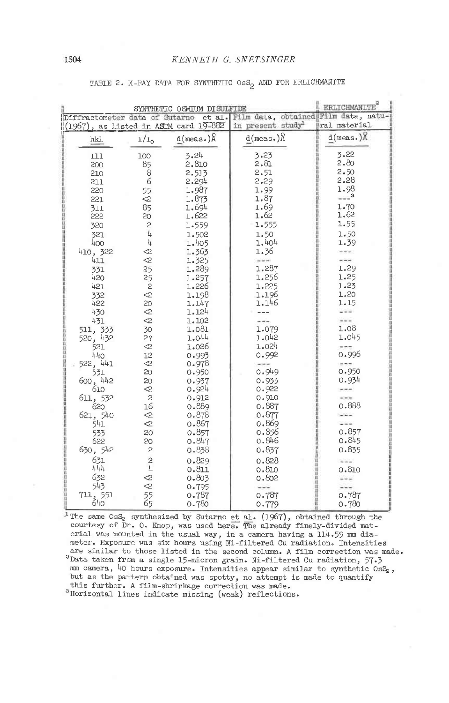|                                | <b>ERLICHMANITE</b>                         |                                       |                               |                |
|--------------------------------|---------------------------------------------|---------------------------------------|-------------------------------|----------------|
| Diffractometer data of Sutarno | et al. Film data, obtained Film data, natu- |                                       |                               |                |
|                                |                                             | (1967), as listed in ASTM card 19-882 | in present study <sup>1</sup> | ral material   |
| hk).                           | $I/I_0$                                     | $d(meas.)$ $\upbeta$                  | $d(meas.)$ $\upbeta$          | $d(meas.)$ $R$ |
| 111                            | 100                                         | 3.24                                  | 3.23                          | 3.22           |
| 200                            | 85                                          | 2.810                                 | 2.81                          | 2.80           |
| 210                            | 8                                           | 2.513                                 | 2.51                          | 2.50           |
| 211                            | 6                                           | 2.294                                 | 2.29                          | 2.28           |
| 220                            | 55                                          | 1.987                                 | 1.99                          | 1.98           |
| 221                            | $\mathcal{Q}$                               | 1.873                                 | 1.87                          | $---3$         |
| 311                            | 85                                          | 1.694                                 | 1.69                          | 1.70<br>1.62   |
| 222                            | 20                                          | 1.622                                 | 1.62                          | 1.55           |
| 320                            | $\mathbf{c}$                                | 1.559                                 | 1.555                         |                |
| 321                            | $\bar{l}_4$                                 | 1.502                                 | 1.50                          | 1.50           |
| 400                            | 4                                           | 1.405                                 | 1.404<br>1.36                 | 1.39           |
| 410, 322<br>411                | $\mathcal{Q}$<br>⊲                          | 1.363<br>1.325                        | $ -$                          | $-$            |
| 331                            | 25                                          | 1.289                                 | 1.287                         | 1.29           |
| 420                            | 25                                          | 1.257                                 | 1.256                         | 1.25           |
| 421                            | $\mathsf{S}$                                | 1.226                                 | 1.225                         | 1.23           |
| 332                            | $\mathcal{Q}$                               | 1.198                                 | 1.196                         | 1.20           |
| 422                            | 20                                          | 1.147                                 | 1.146                         | 1.15           |
| 430                            | $\mathcal{Q}$                               | 1.124                                 |                               |                |
| 431                            | $\mathcal{L}$                               | 1.102                                 |                               | $- - -$        |
| 511, 333                       | 30                                          | 1.081                                 | 1.079                         | 1.08           |
| 520, 432                       | 2?                                          | 1.044                                 | 1.042                         | 1.045          |
| 521                            | $\lhd$                                      | 1.026                                 | 1.024                         | $- - -$        |
| 440                            | 12                                          | 0.993                                 | 0.992                         | 0.996          |
| 522, 441                       | $\mathcal{Q}$                               | 0.978                                 | an berben                     | a e e          |
| 531                            | 20<br>20                                    | 0.950                                 | 0.949<br>0.935                | 0.950<br>0.934 |
| 600, 442<br>610                | $\mathcal{Q}$                               | 0.937<br>0.924                        | 0.922                         | $-111$         |
| 611, 532                       | $\overline{c}$                              | 0.912                                 | 0.910                         |                |
| 620                            | 16                                          | 0.889                                 | 0.887                         | 0.888          |
| 621, 540                       | $\ll$                                       | 0.878                                 | 0.877                         | $-$            |
| 541                            | $\mathrel{<}_{\mathrel{}}$                  | 0.867                                 | 0.869                         | $- - -$        |
| 533                            | 20                                          | 0.857                                 | 0.856                         | 0.857          |
| 622                            | 20                                          | 0.847                                 | 0.846                         | 0.845          |
| 630, 542                       | $\mathbf{c}$                                | 0.838                                 | 0.837                         | 0.835          |
| 631                            | $\overline{c}$                              | 0.829                                 | 0.828                         | $- - -$        |
| 444                            | 4                                           | 0.811                                 | 0.810                         | 0.810          |
| 632                            | ⊲                                           | 0.803                                 | 0.802                         | $- - -$        |
| 543                            | 2                                           | 0.795                                 | $---$                         | $- - -$        |
| 711, 551                       | 55                                          | 0.787                                 | 0.787                         | 0.787          |
| 640                            | 65                                          | 0.780                                 | 0.779                         | 0.780          |

TABLE 2. X-RAY DATA FOR SYNTHETIC OSS<sub>2</sub> AND FOR ERLICHMANITE

<sup>1</sup>The same 0sS<sub>2</sub> synthesized by Sutarno et al.  $(1967)$ , obtained through the courtesy of Dr. 0. Knop, was used here. The already finely-divided material was mounted in the usual way, in a camera having a 114.59 mm dia-<br>meter. Exposure was six hours using Ni-filtered Cu radiation. Intensities are similar to those listed in the second column. A film correction was made. <sup>2</sup>Data taken from a single 15-micron grain. Ni-filtered Cu radiation, 57.3 mm camera, 40 hours exposure. Intensities appear similar to synthetic OsS<sub>2</sub>, but as the pattern obtained was spotty, no attempt is made to quantify this further. A film-shrinkage correction was made. <sup>3</sup>Horizontal lines indicate missing (weak) reflections.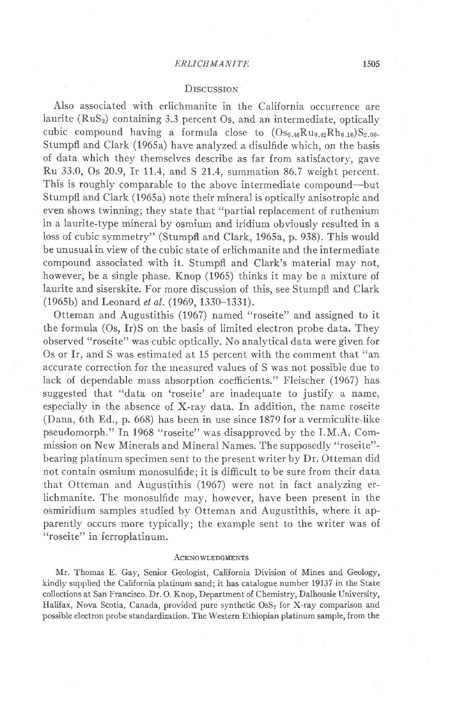#### ERLICHMANITE 1505

## **DISCUSSION**

Also associated with erlichmanite in the California occurrence are laurite  $(RuS<sub>2</sub>)$  containing 3.3 percent Os, and an intermediate, optically cubic compound having a formula close to  $(Os_{0.46}Ru_{0.42}Rh_{0.10})S_{2.00}$ . Stumpfl and Clark (1965a) have analyzed a disulfide which, on the basis of data which they themselves describe as far from satisfactory, gave Ru 33.0, Os 20.9, Ir 11.4, and S 21.4, summation 86.7 weight percent. This is roughly comparable to the above intermediate compound-but Stumpfl and Clark (1965a) note their mineral is optically anisotropic and even shows twinning; they state that "partial replacement of ruthenium in a laurite-type mineral by osmium and iridium obviously resulted in a Ioss of cubic symmetry" (Stumpfl and Clark, 1965a, p. 938). This would be unusual in view of the cubic state of erlichmanite and the intermediate compound associated with it. Stumpfl and Clark's material may not, however, be a single phase. Knop (1965) thinks it may be a mixture of laurite and siserskite. For more discussion of this, see Stumpfl and Clark (1965b) and Leonard et al. (1969, 1330-1331).

Otteman and Augustithis (1967) named "roseite" and assigned to it the formula (Os, Ir)S on the basis of limited electron probe data. They observed "roseite" was cubic optically. No analytical data were given for Os or Ir, and S was estimated at 15 percent with the comment that "an accurate correction for the measured values of S was not possible due to Iack of dependable mass absorption coeffcients." Fleischer (1967) has suggested that "data on 'roseite' are inadequate to justify a name, especiallv in the absence of X-ray data. In addition, the name roseite (Dana, 6th Ed., p. 668) has been in use since 1879 for a vermiculite-like pseudomorph." In 1968 "roseite" was disapproved by the I.M.A. Commission on New Minerals and Mineral Names. The supposedly "roseite" bearing platinum specimen sent to the present writer by Dr. Otteman did not contain osmium monosulfide: it is difficult to be sure from their data that Otteman and Augustithis (1967) were not in fact analyzing erlichmanite. The monosulfide may, however, have been present in the osmiridium samples studied by Otteman and Augustithis, where it apparently occurs more typically; the example sent to the writer was of "roseite" in ferroplatinum.

#### **ACKNOWLEDGMENTS**

Mr. Thomas E. Gay, Senior Geologist, California Division of Mines and Geology, kindly supplied the California platinum sand; it has catalogue number 19137 in the State collections at San Francisco. Dr. O. Knop, Department of Chemistry, Dalhousie University, Halifax, Nova Scotia, Canada, provided pure synthetic OsS<sub>2</sub> for X-ray comparison and possible electron probe standardization. The Western Ethiopian platinum sample, from the